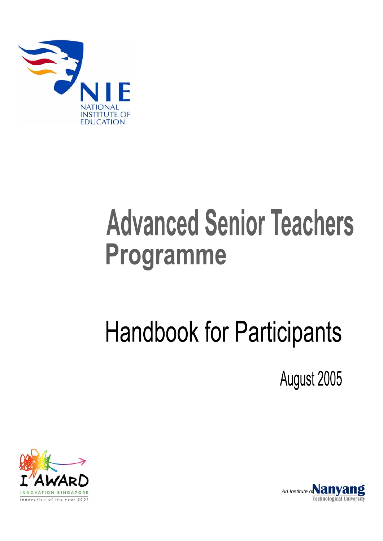

# **Advanced Senior Teachers** Programme

# **Handbook for Participants**

August 2005



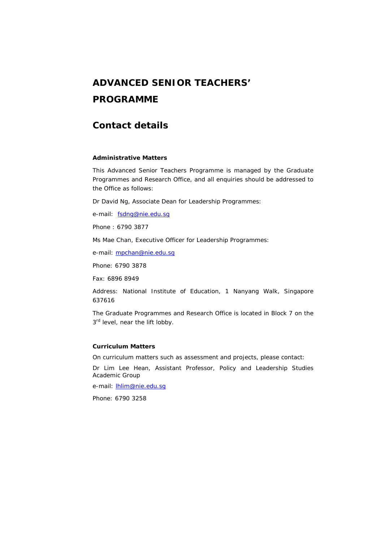# **ADVANCED SENIOR TEACHERS' PROGRAMME**

# **Contact details**

#### **Administrative Matters**

This Advanced Senior Teachers Programme is managed by the Graduate Programmes and Research Office, and all enquiries should be addressed to the Office as follows:

Dr David Ng, Associate Dean for Leadership Programmes:

e-mail: fsdng@nie.edu.sq

Phone : 6790 3877

Ms Mae Chan, Executive Officer for Leadership Programmes:

e-mail: mpchan@nie.edu.sq

Phone: 6790 3878

Fax: 6896 8949

Address: National Institute of Education, 1 Nanyang Walk, Singapore 637616

The Graduate Programmes and Research Office is located in Block 7 on the 3<sup>rd</sup> level, near the lift lobby.

#### **Curriculum Matters**

On curriculum matters such as assessment and projects, please contact:

Dr Lim Lee Hean, Assistant Professor, Policy and Leadership Studies Academic Group

e-mail: **hlim@nie.edu.sq** 

Phone: 6790 3258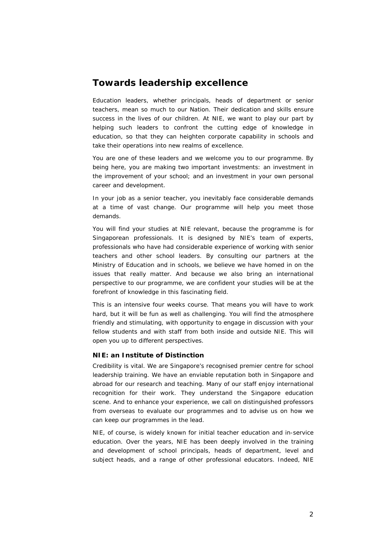# **Towards leadership excellence**

Education leaders, whether principals, heads of department or senior teachers, mean so much to our Nation. Their dedication and skills ensure success in the lives of our children. At NIE, we want to play our part by helping such leaders to confront the cutting edge of knowledge in education, so that they can heighten corporate capability in schools and take their operations into new realms of excellence.

You are one of these leaders and we welcome you to our programme. By being here, you are making two important investments: an investment in the improvement of your school; and an investment in your own personal career and development.

In your job as a senior teacher, you inevitably face considerable demands at a time of vast change. Our programme will help you meet those demands.

You will find your studies at NIE relevant, because the programme is for Singaporean professionals. It is designed by NIE's team of experts, professionals who have had considerable experience of working with senior teachers and other school leaders. By consulting our partners at the Ministry of Education and in schools, we believe we have homed in on the issues that really matter. And because we also bring an international perspective to our programme, we are confident your studies will be at the forefront of knowledge in this fascinating field.

This is an intensive four weeks course. That means you will have to work hard, but it will be fun as well as challenging. You will find the atmosphere friendly and stimulating, with opportunity to engage in discussion with your fellow students and with staff from both inside and outside NIE. This will open you up to different perspectives.

#### **NIE: an Institute of Distinction**

Credibility is vital. We are Singapore's recognised premier centre for school leadership training. We have an enviable reputation both in Singapore and abroad for our research and teaching. Many of our staff enjoy international recognition for their work. They understand the Singapore education scene. And to enhance your experience, we call on distinguished professors from overseas to evaluate our programmes and to advise us on how we can keep our programmes in the lead.

NIE, of course, is widely known for initial teacher education and in-service education. Over the years, NIE has been deeply involved in the training and development of school principals, heads of department, level and subject heads, and a range of other professional educators. Indeed, NIE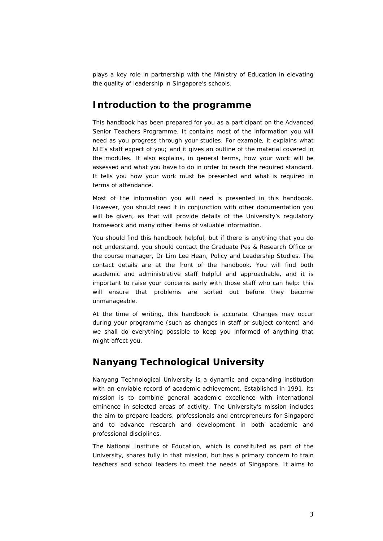plays a key role in partnership with the Ministry of Education in elevating the quality of leadership in Singapore's schools.

# **Introduction to the programme**

This handbook has been prepared for you as a participant on the Advanced Senior Teachers Programme. It contains most of the information you will need as you progress through your studies. For example, it explains what NIE's staff expect of you; and it gives an outline of the material covered in the modules. It also explains, in general terms, how your work will be assessed and what you have to do in order to reach the required standard. It tells you how your work must be presented and what is required in terms of attendance.

Most of the information you will need is presented in this handbook. However, you should read it in conjunction with other documentation you will be given, as that will provide details of the University's regulatory framework and many other items of valuable information.

You should find this handbook helpful, but if there is anything that you do not understand, you should contact the Graduate Pes & Research Office or the course manager, Dr Lim Lee Hean, Policy and Leadership Studies. The contact details are at the front of the handbook. You will find both academic and administrative staff helpful and approachable, and it is important to raise your concerns early with those staff who can help: this will ensure that problems are sorted out before they become unmanageable.

At the time of writing, this handbook is accurate. Changes may occur during your programme (such as changes in staff or subject content) and we shall do everything possible to keep you informed of anything that might affect you.

# **Nanyang Technological University**

Nanyang Technological University is a dynamic and expanding institution with an enviable record of academic achievement. Established in 1991, its mission is to combine general academic excellence with international eminence in selected areas of activity. The University's mission includes the aim to prepare leaders, professionals and entrepreneurs for Singapore and to advance research and development in both academic and professional disciplines.

The National Institute of Education, which is constituted as part of the University, shares fully in that mission, but has a primary concern to train teachers and school leaders to meet the needs of Singapore. It aims to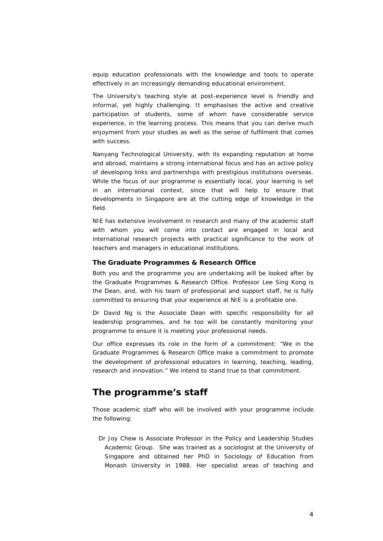equip education professionals with the knowledge and tools to operate effectively in an increasingly demanding educational environment.

The University's teaching style at post-experience level is friendly and informal, yet highly challenging. It emphasises the active and creative participation of students, some of whom have considerable service experience, in the learning process. This means that you can derive much enjoyment from your studies as well as the sense of fulfilment that comes with success.

Nanyang Technological University, with its expanding reputation at home and abroad, maintains a strong international focus and has an active policy of developing links and partnerships with prestigious institutions overseas. While the focus of our programme is essentially local, your learning is set in an international context, since that will help to ensure that developments in Singapore are at the cutting edge of knowledge in the field.

NIE has extensive involvement in research and many of the academic staff with whom you will come into contact are engaged in local and international research projects with practical significance to the work of teachers and managers in educational institutions.

#### **The Graduate Programmes & Research Office**

Both you and the programme you are undertaking will be looked after by the Graduate Programmes & Research Office. Professor Lee Sing Kong is the Dean, and, with his team of professional and support staff, he is fully committed to ensuring that your experience at NIE is a profitable one.

Dr David Ng is the Associate Dean with specific responsibility for all leadership programmes, and he too will be constantly monitoring your programme to ensure it is meeting your professional needs.

Our office expresses its role in the form of a commitment: "We in the Graduate Programmes & Research Office make a commitment to promote the development of professional educators in learning, teaching, leading, research and innovation." We intend to stand true to that commitment.

## **The programme's staff**

Those academic staff who will be involved with your programme include the following:

Dr Joy Chew is Associate Professor in the Policy and Leadership Studies Academic Group. She was trained as a sociologist at the University of Singapore and obtained her PhD in Sociology of Education from Monash University in 1988. Her specialist areas of teaching and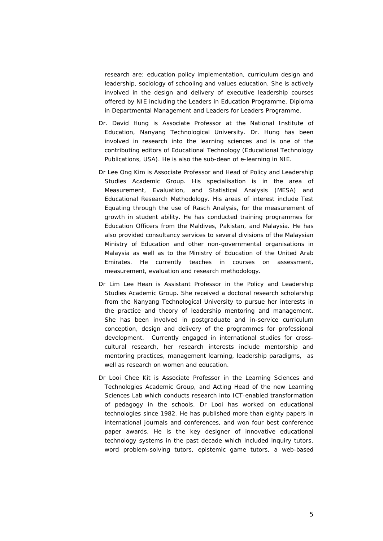research are: education policy implementation, curriculum design and leadership, sociology of schooling and values education. She is actively involved in the design and delivery of executive leadership courses offered by NIE including the Leaders in Education Programme, Diploma in Departmental Management and Leaders for Leaders Programme.

- Dr. David Hung is Associate Professor at the National Institute of Education, Nanyang Technological University. Dr. Hung has been involved in research into the learning sciences and is one of the contributing editors of Educational Technology (Educational Technology Publications, USA). He is also the sub-dean of e-learning in NIE.
- Dr Lee Ong Kim is Associate Professor and Head of Policy and Leadership Studies Academic Group. His specialisation is in the area of Measurement, Evaluation, and Statistical Analysis (MESA) and Educational Research Methodology. His areas of interest include Test Equating through the use of Rasch Analysis, for the measurement of growth in student ability. He has conducted training programmes for Education Officers from the Maldives, Pakistan, and Malaysia. He has also provided consultancy services to several divisions of the Malaysian Ministry of Education and other non-governmental organisations in Malaysia as well as to the Ministry of Education of the United Arab Emirates. He currently teaches in courses on assessment, measurement, evaluation and research methodology.
- Dr Lim Lee Hean is Assistant Professor in the Policy and Leadership Studies Academic Group. She received a doctoral research scholarship from the Nanyang Technological University to pursue her interests in the practice and theory of leadership mentoring and management. She has been involved in postgraduate and in-service curriculum conception, design and delivery of the programmes for professional development. Currently engaged in international studies for crosscultural research, her research interests include mentorship and mentoring practices, management learning, leadership paradigms, as well as research on women and education.
- Dr Looi Chee Kit is Associate Professor in the Learning Sciences and Technologies Academic Group, and Acting Head of the new Learning Sciences Lab which conducts research into ICT-enabled transformation of pedagogy in the schools. Dr Looi has worked on educational technologies since 1982. He has published more than eighty papers in international journals and conferences, and won four best conference paper awards. He is the key designer of innovative educational technology systems in the past decade which included inquiry tutors, word problem-solving tutors, epistemic game tutors, a web-based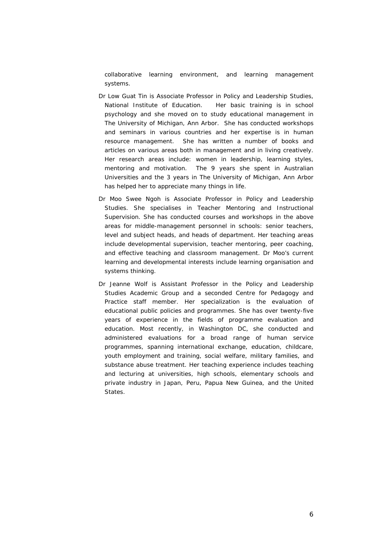collaborative learning environment, and learning management systems.

- Dr Low Guat Tin is Associate Professor in Policy and Leadership Studies, National Institute of Education. Her basic training is in school psychology and she moved on to study educational management in The University of Michigan, Ann Arbor. She has conducted workshops and seminars in various countries and her expertise is in human resource management. She has written a number of books and articles on various areas both in management and in living creatively. Her research areas include: women in leadership, learning styles, mentoring and motivation. The 9 years she spent in Australian Universities and the 3 years in The University of Michigan, Ann Arbor has helped her to appreciate many things in life.
- Dr Moo Swee Ngoh is Associate Professor in Policy and Leadership Studies. She specialises in Teacher Mentoring and Instructional Supervision. She has conducted courses and workshops in the above areas for middle-management personnel in schools: senior teachers, level and subject heads, and heads of department. Her teaching areas include developmental supervision, teacher mentoring, peer coaching, and effective teaching and classroom management. Dr Moo's current learning and developmental interests include learning organisation and systems thinking.
- Dr Jeanne Wolf is Assistant Professor in the Policy and Leadership Studies Academic Group and a seconded Centre for Pedagogy and Practice staff member. Her specialization is the evaluation of educational public policies and programmes. She has over twenty-five years of experience in the fields of programme evaluation and education. Most recently, in Washington DC, she conducted and administered evaluations for a broad range of human service programmes, spanning international exchange, education, childcare, youth employment and training, social welfare, military families, and substance abuse treatment. Her teaching experience includes teaching and lecturing at universities, high schools, elementary schools and private industry in Japan, Peru, Papua New Guinea, and the United **States**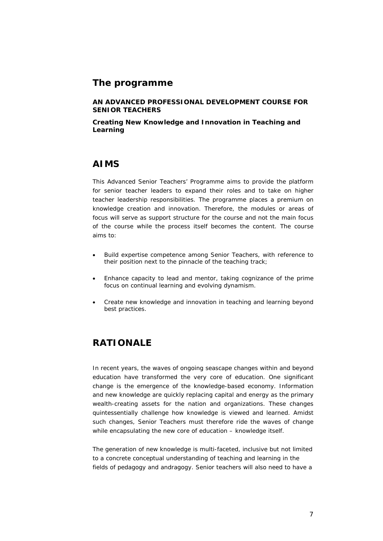## **The programme**

**AN ADVANCED PROFESSIONAL DEVELOPMENT COURSE FOR SENIOR TEACHERS** 

**Creating New Knowledge and Innovation in Teaching and Learning**

## **AIMS**

This Advanced Senior Teachers' Programme aims to provide the platform for senior teacher leaders to expand their roles and to take on higher teacher leadership responsibilities. The programme places a premium on knowledge creation and innovation. Therefore, the modules or areas of focus will serve as support structure for the course and not the main focus of the course while the process itself becomes the content. The course aims to:

- Build expertise competence among Senior Teachers, with reference to their position next to the pinnacle of the teaching track;
- Enhance capacity to lead and mentor, taking cognizance of the prime focus on continual learning and evolving dynamism.
- Create new knowledge and innovation in teaching and learning beyond best practices.

# **RATIONALE**

In recent years, the waves of ongoing seascape changes within and beyond education have transformed the very core of education. One significant change is the emergence of the knowledge-based economy. Information and new knowledge are quickly replacing capital and energy as the primary wealth-creating assets for the nation and organizations. These changes quintessentially challenge how knowledge is viewed and learned. Amidst such changes, Senior Teachers must therefore ride the waves of change while encapsulating the new core of education – knowledge itself.

The generation of new knowledge is multi-faceted, inclusive but not limited to a concrete conceptual understanding of teaching and learning in the fields of pedagogy and andragogy. Senior teachers will also need to have a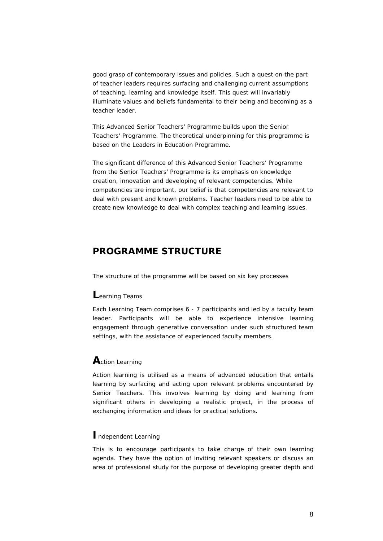good grasp of contemporary issues and policies. Such a quest on the part of teacher leaders requires surfacing and challenging current assumptions of teaching, learning and knowledge itself. This quest will invariably illuminate values and beliefs fundamental to their being and becoming as a teacher leader.

This Advanced Senior Teachers' Programme builds upon the Senior Teachers' Programme. The theoretical underpinning for this programme is based on the Leaders in Education Programme.

The significant difference of this Advanced Senior Teachers' Programme from the Senior Teachers' Programme is its emphasis on knowledge creation, innovation and developing of relevant competencies. While competencies are important, our belief is that competencies are relevant to deal with present and known problems. Teacher leaders need to be able to create new knowledge to deal with complex teaching and learning issues.

# **PROGRAMME STRUCTURE**

The structure of the programme will be based on six key processes

## **L**earning Teams

Each Learning Team comprises 6 - 7 participants and led by a faculty team leader. Participants will be able to experience intensive learning engagement through generative conversation under such structured team settings, with the assistance of experienced faculty members.

## **A**ction Learning

Action learning is utilised as a means of advanced education that entails learning by surfacing and acting upon relevant problems encountered by Senior Teachers. This involves learning by doing and learning from significant others in developing a realistic project, in the process of exchanging information and ideas for practical solutions.

## **I**ndependent Learning

This is to encourage participants to take charge of their own learning agenda. They have the option of inviting relevant speakers or discuss an area of professional study for the purpose of developing greater depth and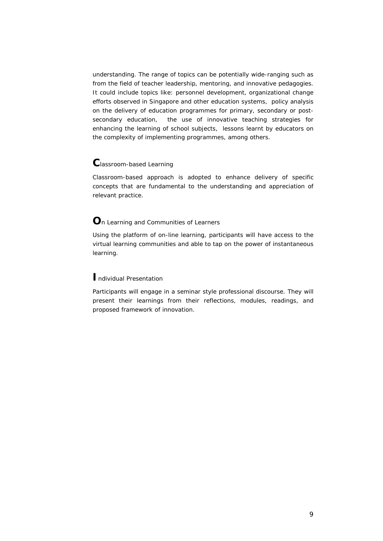understanding. The range of topics can be potentially wide-ranging such as from the field of teacher leadership, mentoring, and innovative pedagogies. It could include topics like: personnel development, organizational change efforts observed in Singapore and other education systems, policy analysis on the delivery of education programmes for primary, secondary or postsecondary education, the use of innovative teaching strategies for enhancing the learning of school subjects, lessons learnt by educators on the complexity of implementing programmes, among others.

## **C**lassroom-based Learning

Classroom-based approach is adopted to enhance delivery of specific concepts that are fundamental to the understanding and appreciation of relevant practice.

## **O**n Learning and Communities of Learners

Using the platform of on-line learning, participants will have access to the virtual learning communities and able to tap on the power of instantaneous learning.

## **I**ndividual Presentation

Participants will engage in a seminar style professional discourse. They will present their learnings from their reflections, modules, readings, and proposed framework of innovation.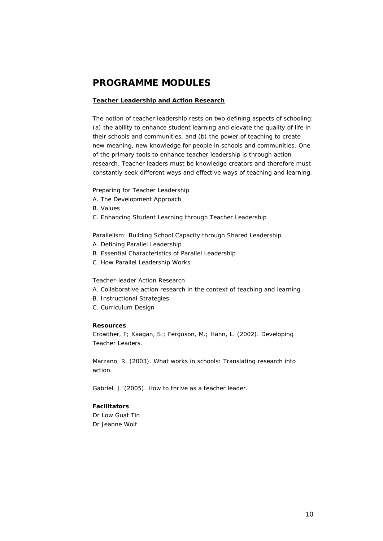# **PROGRAMME MODULES**

#### **Teacher Leadership and Action Research**

The notion of teacher leadership rests on two defining aspects of schooling: (a) the ability to enhance student learning and elevate the quality of life in their schools and communities, and (b) the power of teaching to create new meaning, new knowledge for people in schools and communities. One of the primary tools to enhance teacher leadership is through action research. Teacher leaders must be knowledge creators and therefore must constantly seek different ways and effective ways of teaching and learning.

#### *Preparing for Teacher Leadership*

- A. The Development Approach
- B. Values
- C. Enhancing Student Learning through Teacher Leadership

#### *Parallelism: Building School Capacity through Shared Leadership*

- A. Defining Parallel Leadership
- B. Essential Characteristics of Parallel Leadership
- C. How Parallel Leadership Works

#### *Teacher-leader Action Research*

- A. Collaborative action research in the context of teaching and learning
- B. Instructional Strategies
- C. Curriculum Design

#### **Resources**

Crowther, F; Kaagan, S.; Ferguson, M.; Hann, L. (2002). Developing Teacher Leaders.

Marzano, R. (2003). What works in schools: Translating research into action.

Gabriel, J. (2005). How to thrive as a teacher leader.

## **Facilitators**

Dr Low Guat Tin Dr Jeanne Wolf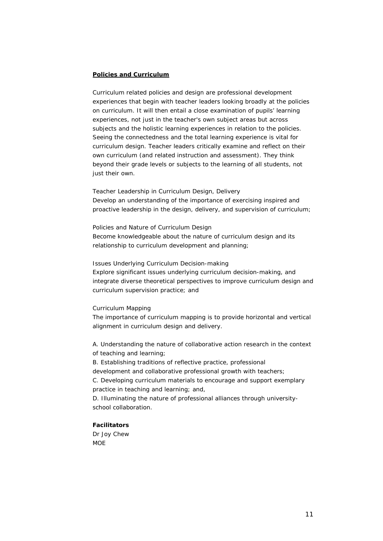#### **Policies and Curriculum**

Curriculum related policies and design are professional development experiences that begin with teacher leaders looking broadly at the policies on curriculum. It will then entail a close examination of pupils' learning experiences, not just in the teacher's own subject areas but across subjects and the holistic learning experiences in relation to the policies. Seeing the connectedness and the total learning experience is vital for curriculum design. Teacher leaders critically examine and reflect on their own curriculum (and related instruction and assessment). They think beyond their grade levels or subjects to the learning of all students, not just their own.

#### *Teacher Leadership in Curriculum Design, Delivery*  Develop an understanding of the importance of exercising inspired and

proactive leadership in the design, delivery, and supervision of curriculum;

#### *Policies and Nature of Curriculum Design*

Become knowledgeable about the nature of curriculum design and its relationship to curriculum development and planning;

#### *Issues Underlying Curriculum Decision-making*

Explore significant issues underlying curriculum decision-making, and integrate diverse theoretical perspectives to improve curriculum design and curriculum supervision practice; and

#### *Curriculum Mapping*

The importance of curriculum mapping is to provide horizontal and vertical alignment in curriculum design and delivery.

A. Understanding the nature of collaborative action research in the context of teaching and learning;

B. Establishing traditions of reflective practice, professional

development and collaborative professional growth with teachers;

C. Developing curriculum materials to encourage and support exemplary practice in teaching and learning; and,

D. Illuminating the nature of professional alliances through universityschool collaboration.

## **Facilitators**

Dr Joy Chew **MOE**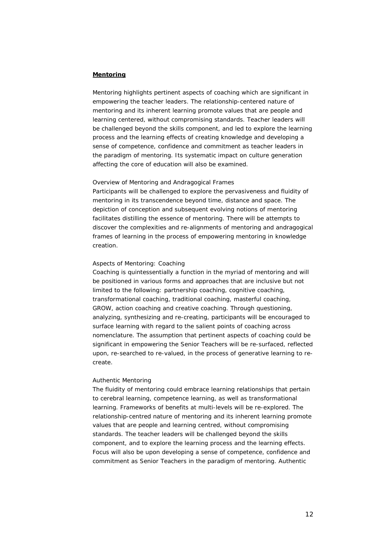### **Mentoring**

Mentoring highlights pertinent aspects of coaching which are significant in empowering the teacher leaders. The relationship-centered nature of mentoring and its inherent learning promote values that are people and learning centered, without compromising standards. Teacher leaders will be challenged beyond the skills component, and led to explore the learning process and the learning effects of creating knowledge and developing a sense of competence, confidence and commitment as teacher leaders in the paradigm of mentoring. Its systematic impact on culture generation affecting the core of education will also be examined.

#### *Overview of Mentoring and Andragogical Frames*

Participants will be challenged to explore the pervasiveness and fluidity of mentoring in its transcendence beyond time, distance and space. The depiction of conception and subsequent evolving notions of mentoring facilitates distilling the essence of mentoring. There will be attempts to discover the complexities and re-alignments of mentoring and andragogical frames of learning in the process of empowering mentoring in knowledge creation.

#### *Aspects of Mentoring: Coaching*

Coaching is quintessentially a function in the myriad of mentoring and will be positioned in various forms and approaches that are inclusive but not limited to the following: partnership coaching, cognitive coaching, transformational coaching, traditional coaching, masterful coaching, GROW, action coaching and creative coaching. Through questioning, analyzing, synthesizing and re-creating, participants will be encouraged to surface learning with regard to the salient points of coaching across nomenclature. The assumption that pertinent aspects of coaching could be significant in empowering the Senior Teachers will be re-surfaced, reflected upon, re-searched to re-valued, in the process of generative learning to recreate.

#### *Authentic Mentoring*

The fluidity of mentoring could embrace learning relationships that pertain to cerebral learning, competence learning, as well as transformational learning. Frameworks of benefits at multi-levels will be re-explored. The relationship-centred nature of mentoring and its inherent learning promote values that are people and learning centred, without compromising standards. The teacher leaders will be challenged beyond the skills component, and to explore the learning process and the learning effects. Focus will also be upon developing a sense of competence, confidence and commitment as Senior Teachers in the paradigm of mentoring. Authentic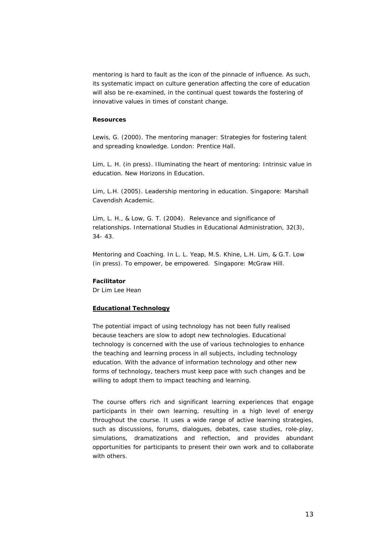mentoring is hard to fault as the icon of the pinnacle of influence. As such, its systematic impact on culture generation affecting the core of education will also be re-examined, in the continual quest towards the fostering of innovative values in times of constant change.

#### *Resources*

Lewis, G. (2000). The mentoring manager: Strategies for fostering talent and spreading knowledge. London: Prentice Hall.

Lim, L. H. (in press). Illuminating the heart of mentoring: Intrinsic value in education. New Horizons in Education.

Lim, L.H. (2005). Leadership mentoring in education. Singapore: Marshall Cavendish Academic.

Lim, L. H., & Low, G. T. (2004). Relevance and significance of relationships. International Studies in Educational Administration, 32(3), 34- 43.

Mentoring and Coaching. In L. L. Yeap, M.S. Khine, L.H. Lim, & G.T. Low (in press). To empower, be empowered. Singapore: McGraw Hill.

#### **Facilitator**

Dr Lim Lee Hean

#### **Educational Technology**

The potential impact of using technology has not been fully realised because teachers are slow to adopt new technologies. Educational technology is concerned with the use of various technologies to enhance the teaching and learning process in all subjects, including technology education. With the advance of information technology and other new forms of technology, teachers must keep pace with such changes and be willing to adopt them to impact teaching and learning.

The course offers rich and significant learning experiences that engage participants in their own learning, resulting in a high level of energy throughout the course. It uses a wide range of active learning strategies, such as discussions, forums, dialogues, debates, case studies, role-play, simulations, dramatizations and reflection, and provides abundant opportunities for participants to present their own work and to collaborate with others.